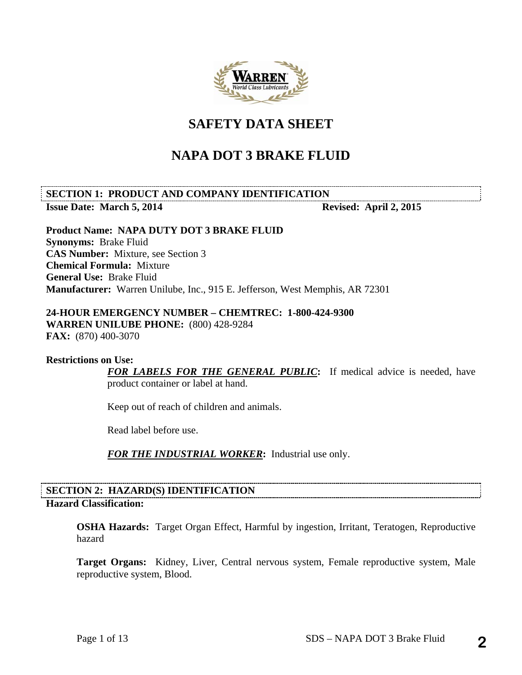

# **SAFETY DATA SHEET**

# **NAPA DOT 3 BRAKE FLUID**

# **SECTION 1: PRODUCT AND COMPANY IDENTIFICATION Issue Date: March 5, 2014 Revised: April 2, 2015**

**Product Name: NAPA DUTY DOT 3 BRAKE FLUID Synonyms:** Brake Fluid **CAS Number:** Mixture, see Section 3 **Chemical Formula:** Mixture **General Use:** Brake Fluid **Manufacturer:** Warren Unilube, Inc., 915 E. Jefferson, West Memphis, AR 72301

# **24-HOUR EMERGENCY NUMBER – CHEMTREC: 1-800-424-9300**

**WARREN UNILUBE PHONE:** (800) 428-9284 **FAX:** (870) 400-3070

# **Restrictions on Use:**

*FOR LABELS FOR THE GENERAL PUBLIC***:** If medical advice is needed, have product container or label at hand.

Keep out of reach of children and animals.

Read label before use.

*FOR THE INDUSTRIAL WORKER***:** Industrial use only.

# **SECTION 2: HAZARD(S) IDENTIFICATION Hazard Classification:**

**OSHA Hazards:** Target Organ Effect, Harmful by ingestion, Irritant, Teratogen, Reproductive hazard

**Target Organs:** Kidney, Liver, Central nervous system, Female reproductive system, Male reproductive system, Blood.

**2**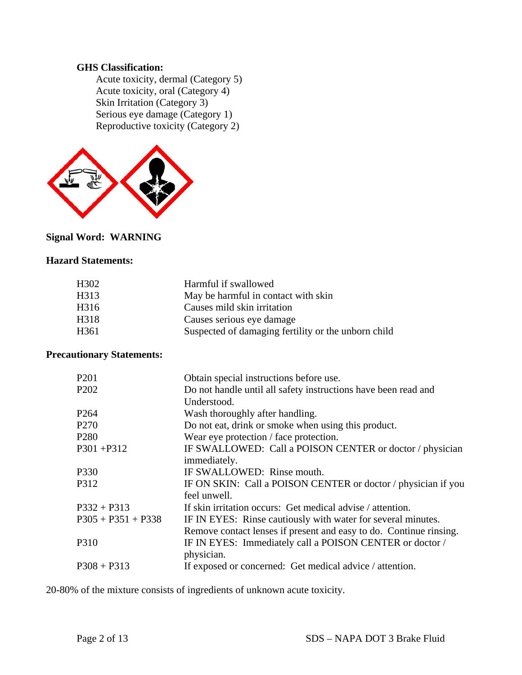# **GHS Classification:**

 Acute toxicity, dermal (Category 5) Acute toxicity, oral (Category 4) Skin Irritation (Category 3) Serious eye damage (Category 1) Reproductive toxicity (Category 2)



# **Signal Word: WARNING**

# **Hazard Statements:**

| H <sub>3</sub> 02 | Harmful if swallowed                                |
|-------------------|-----------------------------------------------------|
| H313              | May be harmful in contact with skin                 |
| H <sub>316</sub>  | Causes mild skin irritation                         |
| H318              | Causes serious eye damage                           |
| H <sub>361</sub>  | Suspected of damaging fertility or the unborn child |
|                   |                                                     |

# **Precautionary Statements:**

| P <sub>201</sub>              | Obtain special instructions before use.                            |
|-------------------------------|--------------------------------------------------------------------|
| P <sub>2</sub> 0 <sub>2</sub> | Do not handle until all safety instructions have been read and     |
|                               | Understood.                                                        |
| P <sub>264</sub>              | Wash thoroughly after handling.                                    |
| P <sub>270</sub>              | Do not eat, drink or smoke when using this product.                |
| P <sub>280</sub>              | Wear eye protection / face protection.                             |
| $P301 + P312$                 | IF SWALLOWED: Call a POISON CENTER or doctor / physician           |
|                               | immediately.                                                       |
| P330                          | IF SWALLOWED: Rinse mouth.                                         |
| P312                          | IF ON SKIN: Call a POISON CENTER or doctor / physician if you      |
|                               | feel unwell.                                                       |
| $P332 + P313$                 | If skin irritation occurs: Get medical advise / attention.         |
| $P305 + P351 + P338$          | IF IN EYES: Rinse cautiously with water for several minutes.       |
|                               | Remove contact lenses if present and easy to do. Continue rinsing. |
| P310                          | IF IN EYES: Immediately call a POISON CENTER or doctor /           |
|                               | physician.                                                         |
| $P308 + P313$                 | If exposed or concerned: Get medical advice / attention.           |
|                               |                                                                    |

20-80% of the mixture consists of ingredients of unknown acute toxicity.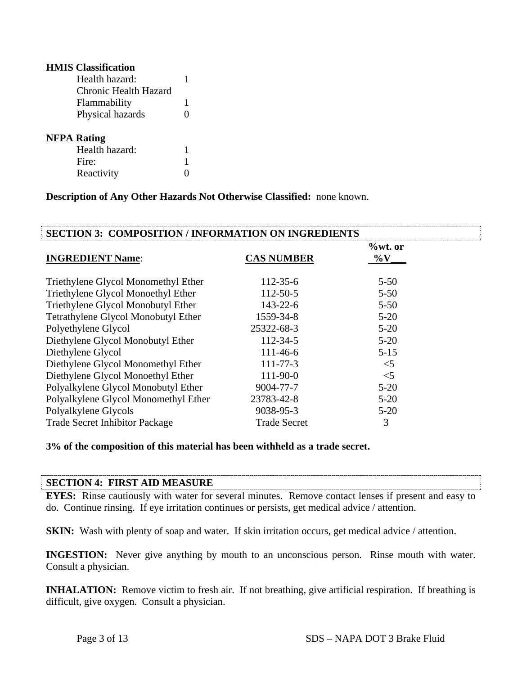| <b>HMIS</b> Classification |   |
|----------------------------|---|
| Health hazard:             | 1 |
| Chronic Health Hazard      |   |
| Flammability               | 1 |
| Physical hazards           | 0 |
|                            |   |
| <b>NFPA Rating</b>         |   |
| Health hazard:             | 1 |
| Fire:                      | 1 |
| Reactivity                 |   |

**Description of Any Other Hazards Not Otherwise Classified:** none known.

| <b>SECTION 3: COMPOSITION / INFORMATION ON INGREDIENTS</b> |                     |                       |  |  |  |
|------------------------------------------------------------|---------------------|-----------------------|--|--|--|
| <b>INGREDIENT Name:</b>                                    | <b>CAS NUMBER</b>   | $\%$ wt. or<br>$\%$ V |  |  |  |
| Triethylene Glycol Monomethyl Ether                        | $112 - 35 - 6$      | $5 - 50$              |  |  |  |
| Triethylene Glycol Monoethyl Ether                         | $112 - 50 - 5$      | $5 - 50$              |  |  |  |
| Triethylene Glycol Monobutyl Ether                         | $143 - 22 - 6$      | $5 - 50$              |  |  |  |
| Tetrathylene Glycol Monobutyl Ether                        | 1559-34-8           | $5 - 20$              |  |  |  |
| Polyethylene Glycol                                        | 25322-68-3          | $5 - 20$              |  |  |  |
| Diethylene Glycol Monobutyl Ether                          | 112-34-5            | $5 - 20$              |  |  |  |
| Diethylene Glycol                                          | $111 - 46 - 6$      | $5 - 15$              |  |  |  |
| Diethylene Glycol Monomethyl Ether                         | $111 - 77 - 3$      | $<$ 5                 |  |  |  |
| Diethylene Glycol Monoethyl Ether                          | $111-90-0$          | $<$ 5                 |  |  |  |
| Polyalkylene Glycol Monobutyl Ether                        | 9004-77-7           | $5 - 20$              |  |  |  |
| Polyalkylene Glycol Monomethyl Ether                       | 23783-42-8          | $5 - 20$              |  |  |  |
| Polyalkylene Glycols                                       | 9038-95-3           | $5 - 20$              |  |  |  |
| <b>Trade Secret Inhibitor Package</b>                      | <b>Trade Secret</b> | 3                     |  |  |  |

# **3% of the composition of this material has been withheld as a trade secret.**

# **SECTION 4: FIRST AID MEASURE**

**EYES:** Rinse cautiously with water for several minutes. Remove contact lenses if present and easy to do. Continue rinsing. If eye irritation continues or persists, get medical advice / attention.

**SKIN:** Wash with plenty of soap and water. If skin irritation occurs, get medical advice / attention.

**INGESTION:** Never give anything by mouth to an unconscious person. Rinse mouth with water. Consult a physician.

**INHALATION:** Remove victim to fresh air. If not breathing, give artificial respiration. If breathing is difficult, give oxygen. Consult a physician.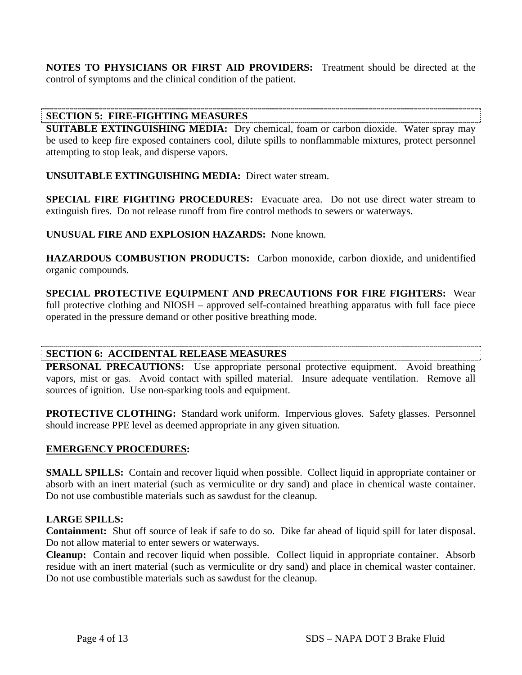**NOTES TO PHYSICIANS OR FIRST AID PROVIDERS:** Treatment should be directed at the control of symptoms and the clinical condition of the patient.

# **SECTION 5: FIRE-FIGHTING MEASURES**

**SUITABLE EXTINGUISHING MEDIA:** Dry chemical, foam or carbon dioxide. Water spray may be used to keep fire exposed containers cool, dilute spills to nonflammable mixtures, protect personnel attempting to stop leak, and disperse vapors.

**UNSUITABLE EXTINGUISHING MEDIA:** Direct water stream.

**SPECIAL FIRE FIGHTING PROCEDURES:** Evacuate area. Do not use direct water stream to extinguish fires. Do not release runoff from fire control methods to sewers or waterways.

**UNUSUAL FIRE AND EXPLOSION HAZARDS:** None known.

**HAZARDOUS COMBUSTION PRODUCTS:** Carbon monoxide, carbon dioxide, and unidentified organic compounds.

**SPECIAL PROTECTIVE EQUIPMENT AND PRECAUTIONS FOR FIRE FIGHTERS:** Wear full protective clothing and NIOSH – approved self-contained breathing apparatus with full face piece operated in the pressure demand or other positive breathing mode.

# **SECTION 6: ACCIDENTAL RELEASE MEASURES**

**PERSONAL PRECAUTIONS:** Use appropriate personal protective equipment. Avoid breathing vapors, mist or gas. Avoid contact with spilled material. Insure adequate ventilation. Remove all sources of ignition. Use non-sparking tools and equipment.

**PROTECTIVE CLOTHING:** Standard work uniform. Impervious gloves. Safety glasses. Personnel should increase PPE level as deemed appropriate in any given situation.

# **EMERGENCY PROCEDURES:**

**SMALL SPILLS:** Contain and recover liquid when possible. Collect liquid in appropriate container or absorb with an inert material (such as vermiculite or dry sand) and place in chemical waste container. Do not use combustible materials such as sawdust for the cleanup.

# **LARGE SPILLS:**

**Containment:** Shut off source of leak if safe to do so. Dike far ahead of liquid spill for later disposal. Do not allow material to enter sewers or waterways.

**Cleanup:** Contain and recover liquid when possible. Collect liquid in appropriate container. Absorb residue with an inert material (such as vermiculite or dry sand) and place in chemical waster container. Do not use combustible materials such as sawdust for the cleanup.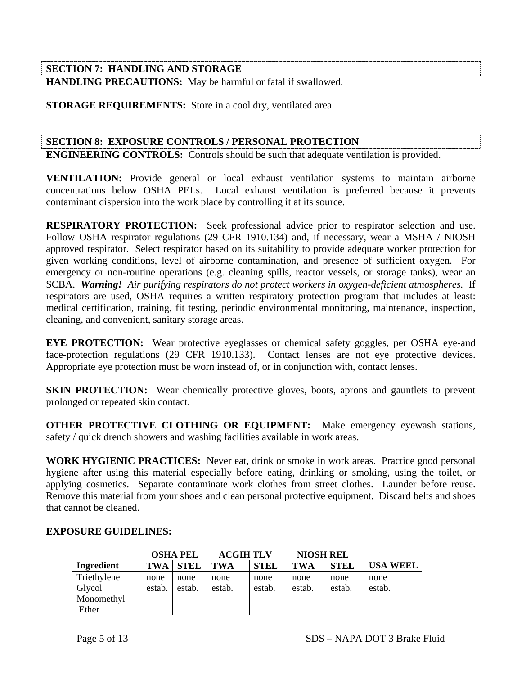# **SECTION 7: HANDLING AND STORAGE**

**HANDLING PRECAUTIONS:** May be harmful or fatal if swallowed.

**STORAGE REQUIREMENTS:** Store in a cool dry, ventilated area.

# **SECTION 8: EXPOSURE CONTROLS / PERSONAL PROTECTION**

**ENGINEERING CONTROLS:** Controls should be such that adequate ventilation is provided.

**VENTILATION:** Provide general or local exhaust ventilation systems to maintain airborne concentrations below OSHA PELs. Local exhaust ventilation is preferred because it prevents contaminant dispersion into the work place by controlling it at its source.

**RESPIRATORY PROTECTION:** Seek professional advice prior to respirator selection and use. Follow OSHA respirator regulations (29 CFR 1910.134) and, if necessary, wear a MSHA / NIOSH approved respirator. Select respirator based on its suitability to provide adequate worker protection for given working conditions, level of airborne contamination, and presence of sufficient oxygen. For emergency or non-routine operations (e.g. cleaning spills, reactor vessels, or storage tanks), wear an SCBA. *Warning! Air purifying respirators do not protect workers in oxygen-deficient atmospheres.* If respirators are used, OSHA requires a written respiratory protection program that includes at least: medical certification, training, fit testing, periodic environmental monitoring, maintenance, inspection, cleaning, and convenient, sanitary storage areas.

**EYE PROTECTION:** Wear protective eyeglasses or chemical safety goggles, per OSHA eye-and face-protection regulations (29 CFR 1910.133). Contact lenses are not eye protective devices. Appropriate eye protection must be worn instead of, or in conjunction with, contact lenses.

**SKIN PROTECTION:** Wear chemically protective gloves, boots, aprons and gauntlets to prevent prolonged or repeated skin contact.

**OTHER PROTECTIVE CLOTHING OR EQUIPMENT:** Make emergency eyewash stations, safety / quick drench showers and washing facilities available in work areas.

**WORK HYGIENIC PRACTICES:** Never eat, drink or smoke in work areas. Practice good personal hygiene after using this material especially before eating, drinking or smoking, using the toilet, or applying cosmetics. Separate contaminate work clothes from street clothes. Launder before reuse. Remove this material from your shoes and clean personal protective equipment. Discard belts and shoes that cannot be cleaned.

|             |            | <b>OSHA PEL</b> | <b>ACGIH TLV</b> |             | <b>NIOSH REL</b> |             |                 |
|-------------|------------|-----------------|------------------|-------------|------------------|-------------|-----------------|
| Ingredient  | <b>TWA</b> | <b>STEL</b>     | <b>TWA</b>       | <b>STEL</b> | <b>TWA</b>       | <b>STEL</b> | <b>USA WEEL</b> |
| Triethylene | none       | none            | none             | none        | none             | none        | none            |
| Glycol      | estab.     | estab.          | estab.           | estab.      | estab.           | estab.      | estab.          |
| Monomethyl  |            |                 |                  |             |                  |             |                 |
| Ether       |            |                 |                  |             |                  |             |                 |

# **EXPOSURE GUIDELINES:**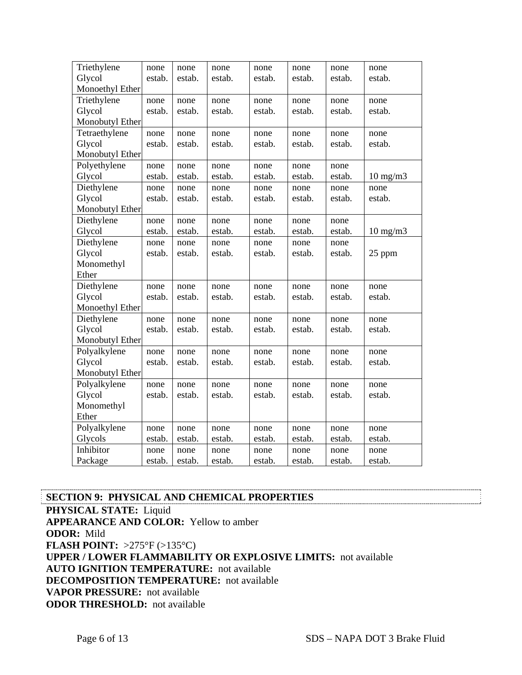| Triethylene     | none   | none   | none   | none   | none   | none   | none              |
|-----------------|--------|--------|--------|--------|--------|--------|-------------------|
| Glycol          | estab. | estab. | estab. | estab. | estab. | estab. | estab.            |
| Monoethyl Ether |        |        |        |        |        |        |                   |
| Triethylene     | none   | none   | none   | none   | none   | none   | none              |
| Glycol          | estab. | estab. | estab. | estab. | estab. | estab. | estab.            |
| Monobutyl Ether |        |        |        |        |        |        |                   |
| Tetraethylene   | none   | none   | none   | none   | none   | none   | none              |
| Glycol          | estab. | estab. | estab. | estab. | estab. | estab. | estab.            |
| Monobutyl Ether |        |        |        |        |        |        |                   |
| Polyethylene    | none   | none   | none   | none   | none   | none   |                   |
| Glycol          | estab. | estab. | estab. | estab. | estab. | estab. | $10 \text{ mg/m}$ |
| Diethylene      | none   | none   | none   | none   | none   | none   | none              |
| Glycol          | estab. | estab. | estab. | estab. | estab. | estab. | estab.            |
| Monobutyl Ether |        |        |        |        |        |        |                   |
| Diethylene      | none   | none   | none   | none   | none   | none   |                   |
| Glycol          | estab. | estab. | estab. | estab. | estab. | estab. | $10 \text{ mg/m}$ |
| Diethylene      | none   | none   | none   | none   | none   | none   |                   |
| Glycol          | estab. | estab. | estab. | estab. | estab. | estab. | 25 ppm            |
| Monomethyl      |        |        |        |        |        |        |                   |
| Ether           |        |        |        |        |        |        |                   |
| Diethylene      | none   | none   | none   | none   | none   | none   | none              |
| Glycol          | estab. | estab. | estab. | estab. | estab. | estab. | estab.            |
| Monoethyl Ether |        |        |        |        |        |        |                   |
| Diethylene      | none   | none   | none   | none   | none   | none   | none              |
| Glycol          | estab. | estab. | estab. | estab. | estab. | estab. | estab.            |
| Monobutyl Ether |        |        |        |        |        |        |                   |
| Polyalkylene    | none   | none   | none   | none   | none   | none   | none              |
| Glycol          | estab. | estab. | estab. | estab. | estab. | estab. | estab.            |
| Monobutyl Ether |        |        |        |        |        |        |                   |
| Polyalkylene    | none   | none   | none   | none   | none   | none   | none              |
| Glycol          | estab. | estab. | estab. | estab. | estab. | estab. | estab.            |
| Monomethyl      |        |        |        |        |        |        |                   |
| Ether           |        |        |        |        |        |        |                   |
| Polyalkylene    | none   | none   | none   | none   | none   | none   | none              |
| Glycols         | estab. | estab. | estab. | estab. | estab. | estab. | estab.            |
| Inhibitor       | none   | none   | none   | none   | none   | none   | none              |
| Package         | estab. | estab. | estab. | estab. | estab. | estab. | estab.            |

**SECTION 9: PHYSICAL AND CHEMICAL PROPERTIES PHYSICAL STATE:** Liquid **APPEARANCE AND COLOR:** Yellow to amber **ODOR:** Mild **FLASH POINT:** >275°F (>135°C) **UPPER / LOWER FLAMMABILITY OR EXPLOSIVE LIMITS:** not available **AUTO IGNITION TEMPERATURE:** not available **DECOMPOSITION TEMPERATURE:** not available **VAPOR PRESSURE:** not available **ODOR THRESHOLD:** not available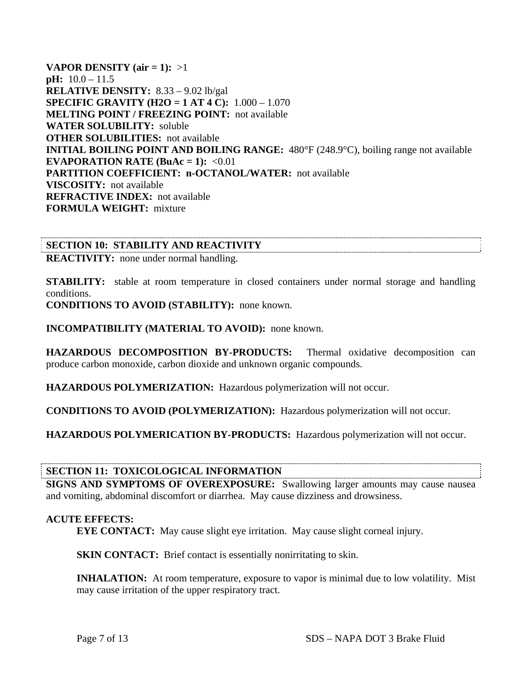**VAPOR DENSITY** (air  $= 1$ ):  $>1$ **pH:** 10.0 – 11.5 **RELATIVE DENSITY:** 8.33 – 9.02 lb/gal **SPECIFIC GRAVITY (H2O = 1 AT 4 C):** 1.000 – 1.070 **MELTING POINT / FREEZING POINT:** not available **WATER SOLUBILITY:** soluble **OTHER SOLUBILITIES:** not available **INITIAL BOILING POINT AND BOILING RANGE:** 480°F (248.9°C), boiling range not available **EVAPORATION RATE (BuAc = 1):**  $\langle 0.01 \rangle$ **PARTITION COEFFICIENT: n-OCTANOL/WATER:** not available **VISCOSITY:** not available **REFRACTIVE INDEX:** not available **FORMULA WEIGHT:** mixture

**SECTION 10: STABILITY AND REACTIVITY** 

**REACTIVITY:** none under normal handling.

**STABILITY:** stable at room temperature in closed containers under normal storage and handling conditions.

**CONDITIONS TO AVOID (STABILITY):** none known.

**INCOMPATIBILITY (MATERIAL TO AVOID):** none known.

**HAZARDOUS DECOMPOSITION BY-PRODUCTS:** Thermal oxidative decomposition can produce carbon monoxide, carbon dioxide and unknown organic compounds.

**HAZARDOUS POLYMERIZATION:** Hazardous polymerization will not occur.

**CONDITIONS TO AVOID (POLYMERIZATION):** Hazardous polymerization will not occur.

**HAZARDOUS POLYMERICATION BY-PRODUCTS:** Hazardous polymerization will not occur.

# **SECTION 11: TOXICOLOGICAL INFORMATION**

**SIGNS AND SYMPTOMS OF OVEREXPOSURE:** Swallowing larger amounts may cause nausea and vomiting, abdominal discomfort or diarrhea. May cause dizziness and drowsiness.

# **ACUTE EFFECTS:**

**EYE CONTACT:** May cause slight eye irritation. May cause slight corneal injury.

**SKIN CONTACT:** Brief contact is essentially nonirritating to skin.

**INHALATION:** At room temperature, exposure to vapor is minimal due to low volatility. Mist may cause irritation of the upper respiratory tract.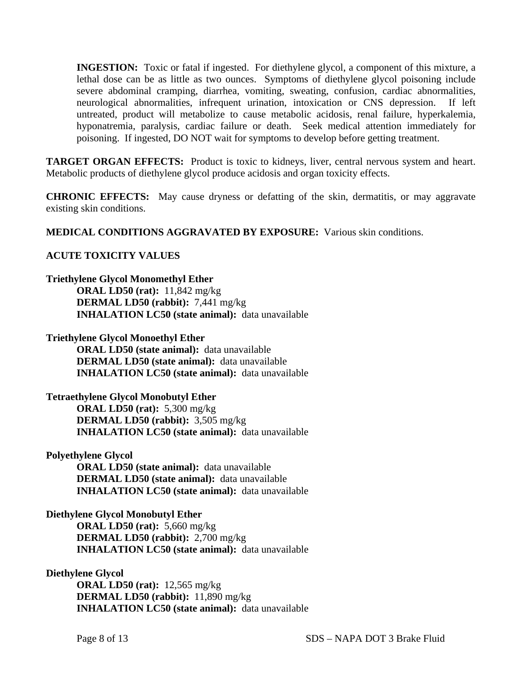**INGESTION:** Toxic or fatal if ingested. For diethylene glycol, a component of this mixture, a lethal dose can be as little as two ounces. Symptoms of diethylene glycol poisoning include severe abdominal cramping, diarrhea, vomiting, sweating, confusion, cardiac abnormalities, neurological abnormalities, infrequent urination, intoxication or CNS depression. If left untreated, product will metabolize to cause metabolic acidosis, renal failure, hyperkalemia, hyponatremia, paralysis, cardiac failure or death. Seek medical attention immediately for poisoning. If ingested, DO NOT wait for symptoms to develop before getting treatment.

**TARGET ORGAN EFFECTS:** Product is toxic to kidneys, liver, central nervous system and heart. Metabolic products of diethylene glycol produce acidosis and organ toxicity effects.

**CHRONIC EFFECTS:** May cause dryness or defatting of the skin, dermatitis, or may aggravate existing skin conditions.

**MEDICAL CONDITIONS AGGRAVATED BY EXPOSURE:** Various skin conditions.

# **ACUTE TOXICITY VALUES**

#### **Triethylene Glycol Monomethyl Ether**

 **ORAL LD50 (rat):** 11,842 mg/kg  **DERMAL LD50 (rabbit):** 7,441 mg/kg  **INHALATION LC50 (state animal):** data unavailable

#### **Triethylene Glycol Monoethyl Ether**

 **ORAL LD50 (state animal):** data unavailable  **DERMAL LD50 (state animal):** data unavailable  **INHALATION LC50 (state animal):** data unavailable

# **Tetraethylene Glycol Monobutyl Ether**

 **ORAL LD50 (rat):** 5,300 mg/kg  **DERMAL LD50 (rabbit):** 3,505 mg/kg  **INHALATION LC50 (state animal):** data unavailable

# **Polyethylene Glycol**

 **ORAL LD50 (state animal):** data unavailable  **DERMAL LD50 (state animal):** data unavailable  **INHALATION LC50 (state animal):** data unavailable

# **Diethylene Glycol Monobutyl Ether**

 **ORAL LD50 (rat):** 5,660 mg/kg  **DERMAL LD50 (rabbit):** 2,700 mg/kg  **INHALATION LC50 (state animal):** data unavailable

#### **Diethylene Glycol**

 **ORAL LD50 (rat):** 12,565 mg/kg  **DERMAL LD50 (rabbit):** 11,890 mg/kg  **INHALATION LC50 (state animal):** data unavailable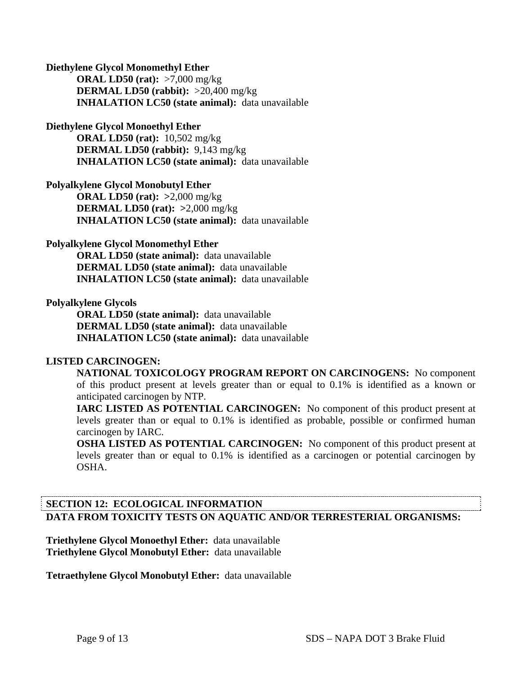#### **Diethylene Glycol Monomethyl Ether**

 **ORAL LD50 (rat):** >7,000 mg/kg  **DERMAL LD50 (rabbit):** >20,400 mg/kg  **INHALATION LC50 (state animal):** data unavailable

#### **Diethylene Glycol Monoethyl Ether**

 **ORAL LD50 (rat):** 10,502 mg/kg  **DERMAL LD50 (rabbit):** 9,143 mg/kg  **INHALATION LC50 (state animal):** data unavailable

# **Polyalkylene Glycol Monobutyl Ether**

 **ORAL LD50 (rat): >**2,000 mg/kg  **DERMAL LD50 (rat): >**2,000 mg/kg  **INHALATION LC50 (state animal):** data unavailable

#### **Polyalkylene Glycol Monomethyl Ether**

 **ORAL LD50 (state animal):** data unavailable  **DERMAL LD50 (state animal):** data unavailable  **INHALATION LC50 (state animal):** data unavailable

#### **Polyalkylene Glycols**

 **ORAL LD50 (state animal):** data unavailable  **DERMAL LD50 (state animal):** data unavailable  **INHALATION LC50 (state animal):** data unavailable

# **LISTED CARCINOGEN:**

**NATIONAL TOXICOLOGY PROGRAM REPORT ON CARCINOGENS:** No component of this product present at levels greater than or equal to 0.1% is identified as a known or anticipated carcinogen by NTP.

**IARC LISTED AS POTENTIAL CARCINOGEN:** No component of this product present at levels greater than or equal to 0.1% is identified as probable, possible or confirmed human carcinogen by IARC.

**OSHA LISTED AS POTENTIAL CARCINOGEN:** No component of this product present at levels greater than or equal to 0.1% is identified as a carcinogen or potential carcinogen by OSHA.

# **SECTION 12: ECOLOGICAL INFORMATION DATA FROM TOXICITY TESTS ON AQUATIC AND/OR TERRESTERIAL ORGANISMS:**

**Triethylene Glycol Monoethyl Ether:** data unavailable **Triethylene Glycol Monobutyl Ether:** data unavailable

**Tetraethylene Glycol Monobutyl Ether:** data unavailable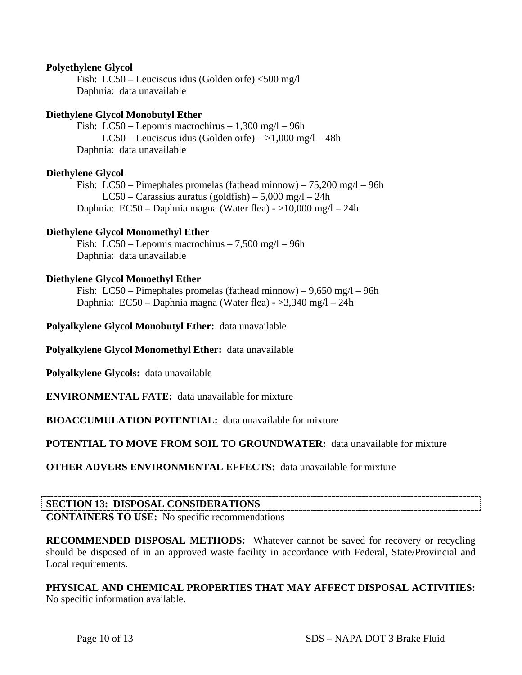# **Polyethylene Glycol**

Fish: LC50 – Leuciscus idus (Golden orfe) <500 mg/l Daphnia: data unavailable

# **Diethylene Glycol Monobutyl Ether**

 Fish: LC50 – Lepomis macrochirus – 1,300 mg/l – 96h LC50 – Leuciscus idus (Golden orfe) –  $>1,000$  mg/l – 48h Daphnia: data unavailable

#### **Diethylene Glycol**

Fish: LC50 – Pimephales promelas (fathead minnow) –  $75,200 \text{ mg}/1 - 96h$ LC50 – Carassius auratus (goldfish) – 5,000 mg/l – 24h Daphnia: EC50 – Daphnia magna (Water flea) - >10,000 mg/l – 24h

#### **Diethylene Glycol Monomethyl Ether**

 Fish: LC50 – Lepomis macrochirus – 7,500 mg/l – 96h Daphnia: data unavailable

# **Diethylene Glycol Monoethyl Ether**

Fish: LC50 – Pimephales promelas (fathead minnow) –  $9,650 \text{ mg}/l - 96h$ Daphnia: EC50 – Daphnia magna (Water flea) - >3,340 mg/l – 24h

**Polyalkylene Glycol Monobutyl Ether:** data unavailable

**Polyalkylene Glycol Monomethyl Ether:** data unavailable

**Polyalkylene Glycols:** data unavailable

**ENVIRONMENTAL FATE:** data unavailable for mixture

**BIOACCUMULATION POTENTIAL:** data unavailable for mixture

**POTENTIAL TO MOVE FROM SOIL TO GROUNDWATER:** data unavailable for mixture

**OTHER ADVERS ENVIRONMENTAL EFFECTS:** data unavailable for mixture

# **SECTION 13: DISPOSAL CONSIDERATIONS**

**CONTAINERS TO USE:** No specific recommendations

**RECOMMENDED DISPOSAL METHODS:** Whatever cannot be saved for recovery or recycling should be disposed of in an approved waste facility in accordance with Federal, State/Provincial and Local requirements.

**PHYSICAL AND CHEMICAL PROPERTIES THAT MAY AFFECT DISPOSAL ACTIVITIES:**  No specific information available.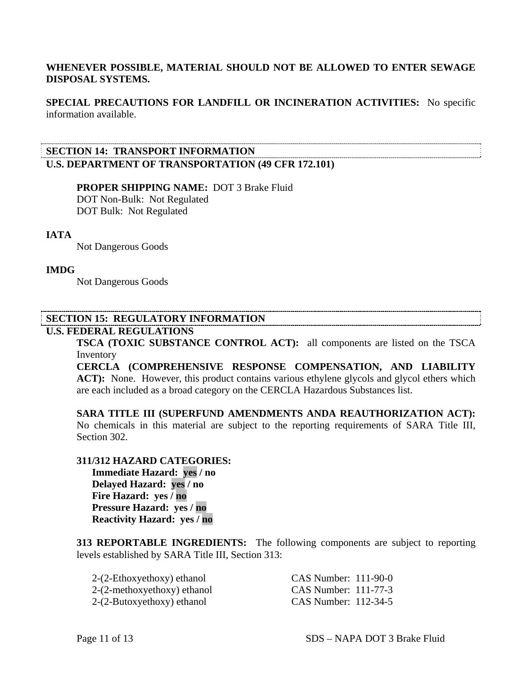# **WHENEVER POSSIBLE, MATERIAL SHOULD NOT BE ALLOWED TO ENTER SEWAGE DISPOSAL SYSTEMS.**

**SPECIAL PRECAUTIONS FOR LANDFILL OR INCINERATION ACTIVITIES:** No specific information available.

# **SECTION 14: TRANSPORT INFORMATION U.S. DEPARTMENT OF TRANSPORTATION (49 CFR 172.101)**

 **PROPER SHIPPING NAME:** DOT 3 Brake Fluid DOT Non-Bulk: Not Regulated DOT Bulk: Not Regulated

#### **IATA**

Not Dangerous Goods

#### **IMDG**

Not Dangerous Goods

# **SECTION 15: REGULATORY INFORMATION**

# **U.S. FEDERAL REGULATIONS**

**TSCA (TOXIC SUBSTANCE CONTROL ACT):** all components are listed on the TSCA Inventory

**CERCLA (COMPREHENSIVE RESPONSE COMPENSATION, AND LIABILITY ACT):** None. However, this product contains various ethylene glycols and glycol ethers which are each included as a broad category on the CERCLA Hazardous Substances list.

**SARA TITLE III (SUPERFUND AMENDMENTS ANDA REAUTHORIZATION ACT):**  No chemicals in this material are subject to the reporting requirements of SARA Title III, Section 302.

#### **311/312 HAZARD CATEGORIES:**

 **Immediate Hazard: yes / no Delayed Hazard: yes / no Fire Hazard: yes / no Pressure Hazard: yes / no Reactivity Hazard: yes / no** 

**313 REPORTABLE INGREDIENTS:** The following components are subject to reporting levels established by SARA Title III, Section 313:

| 2-(2-Ethoxyethoxy) ethanol    | CAS Number: 111-90-0 |
|-------------------------------|----------------------|
| $2-(2-methoxyethoxy)$ ethanol | CAS Number: 111-77-3 |
| $2-(2-Butoxyethoxy)$ ethanol  | CAS Number: 112-34-5 |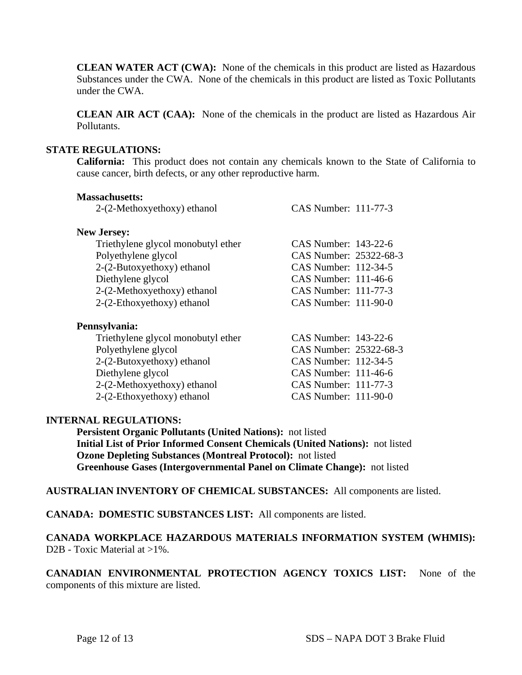**CLEAN WATER ACT (CWA):** None of the chemicals in this product are listed as Hazardous Substances under the CWA. None of the chemicals in this product are listed as Toxic Pollutants under the CWA.

**CLEAN AIR ACT (CAA):** None of the chemicals in the product are listed as Hazardous Air Pollutants.

# **STATE REGULATIONS:**

**California:** This product does not contain any chemicals known to the State of California to cause cancer, birth defects, or any other reproductive harm.

| <b>Massachusetts:</b>              |                          |
|------------------------------------|--------------------------|
| 2-(2-Methoxyethoxy) ethanol        | CAS Number: 111-77-3     |
| <b>New Jersey:</b>                 |                          |
| Triethylene glycol monobutyl ether | CAS Number: 143-22-6     |
| Polyethylene glycol                | CAS Number: 25322-68-3   |
| $2-(2-Butoxyethoxy)$ ethanol       | CAS Number: 112-34-5     |
| Diethylene glycol                  | $CAS$ Number: 111-46-6   |
| 2-(2-Methoxyethoxy) ethanol        | CAS Number: 111-77-3     |
| $2-(2-Ethoxyethoxy)$ ethanol       | $CAS$ Number: $111-90-0$ |
| Pennsylvania:                      |                          |
| Triethylene glycol monobutyl ether | CAS Number: 143-22-6     |
| Polyethylene glycol                | CAS Number: 25322-68-3   |
| $2-(2-Butoxyethoxy)$ ethanol       | CAS Number: 112-34-5     |
| Diethylene glycol                  | $CAS$ Number: 111-46-6   |
| 2-(2-Methoxyethoxy) ethanol        | CAS Number: 111-77-3     |
| $2-(2-Ethoxyethoxy)$ ethanol       | CAS Number: 111-90-0     |

# **INTERNAL REGULATIONS:**

 **Persistent Organic Pollutants (United Nations):** not listed  **Initial List of Prior Informed Consent Chemicals (United Nations):** not listed  **Ozone Depleting Substances (Montreal Protocol):** not listed  **Greenhouse Gases (Intergovernmental Panel on Climate Change):** not listed

**AUSTRALIAN INVENTORY OF CHEMICAL SUBSTANCES:** All components are listed.

**CANADA: DOMESTIC SUBSTANCES LIST:** All components are listed.

**CANADA WORKPLACE HAZARDOUS MATERIALS INFORMATION SYSTEM (WHMIS):**  D2B - Toxic Material at >1%.

**CANADIAN ENVIRONMENTAL PROTECTION AGENCY TOXICS LIST:** None of the components of this mixture are listed.